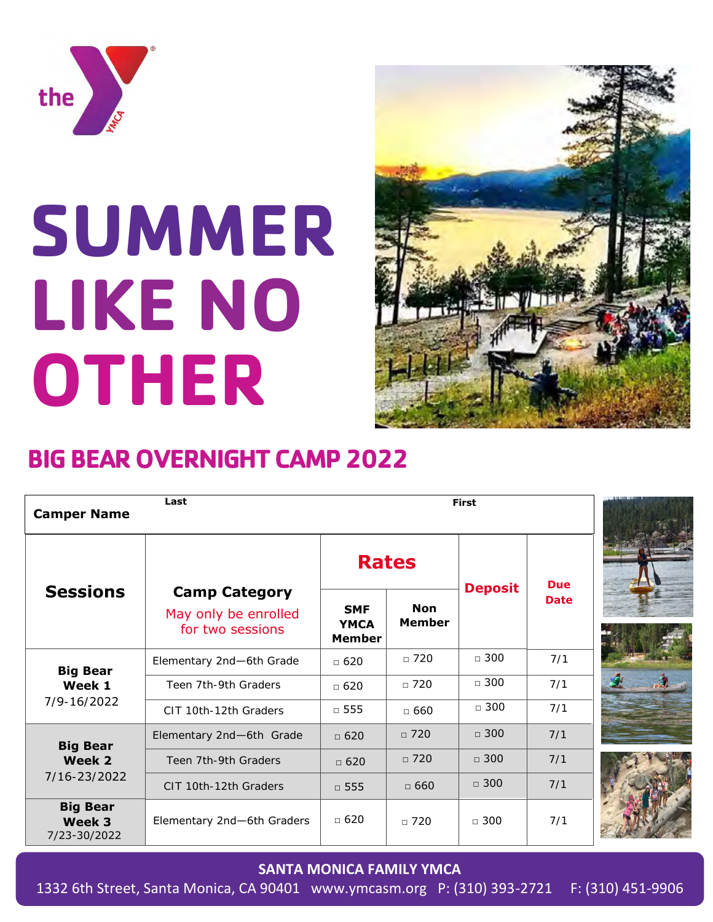

# **SUMMER LIKE NO OTHER**



## **BIG BEAR OVERNIGHT CAMP 2022**

| Last<br><b>Camper Name</b>                                                             |                                                                  | <b>First</b>                               |                             |                |             |  |
|----------------------------------------------------------------------------------------|------------------------------------------------------------------|--------------------------------------------|-----------------------------|----------------|-------------|--|
| <b>Sessions</b>                                                                        | <b>Camp Category</b><br>May only be enrolled<br>for two sessions | <b>Rates</b>                               |                             |                | <b>Due</b>  |  |
|                                                                                        |                                                                  | <b>SMF</b><br><b>YMCA</b><br><b>Member</b> | <b>Non</b><br><b>Member</b> | <b>Deposit</b> | <b>Date</b> |  |
| <b>Big Bear</b><br>Week 1<br>$7/9 - 16/2022$                                           | Elementary 2nd-6th Grade                                         | $\Box$ 620                                 | $\sqrt{720}$                | $\Box$ 300     | 7/1         |  |
|                                                                                        | Teen 7th-9th Graders                                             | $\Box$ 620                                 | $\Box$ 720                  | $\Box$ 300     | 7/1         |  |
|                                                                                        | CIT 10th-12th Graders                                            | $\Box$ 555                                 | $\Box$ 660                  | $\Box$ 300     | 7/1         |  |
| <b>Big Bear</b><br>Week 2<br>7/16-23/2022<br><b>Big Bear</b><br>Week 3<br>7/23-30/2022 | Elementary 2nd-6th Grade                                         | $\Box$ 620                                 | $\Box$ 720                  | $\Box$ 300     | 7/1         |  |
|                                                                                        | Teen 7th-9th Graders                                             | $\Box$ 620                                 | $\Box$ 720                  | $\Box$ 300     | 7/1         |  |
|                                                                                        | CIT 10th-12th Graders                                            | $\Box$ 555                                 | $\Box$ 660                  | $\Box$ 300     | 7/1         |  |
|                                                                                        | Elementary 2nd-6th Graders                                       | $\Box$ 620                                 | $\Box$ 720                  | $\Box$ 300     | 7/1         |  |

#### **SANTA MONICA FAMILY YMCA**

1332 6th Street, Santa Monica, CA 90401 www.ymcasm.org P: (310) 393-2721 F: (310) 451-9906